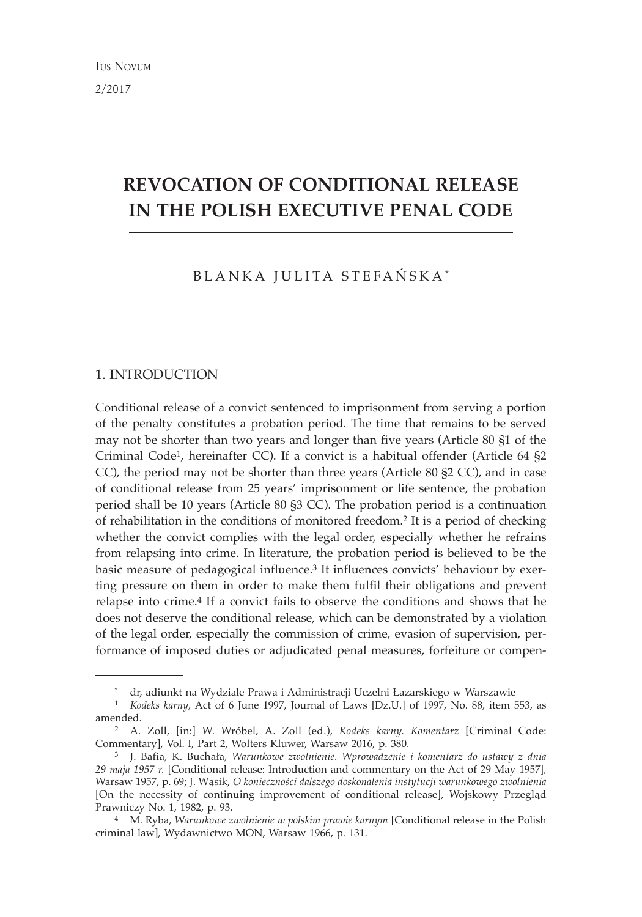2/2017

# **REVOCATION OF CONDITIONAL RELEASE IN THE POLISH EXECUTIVE PENAL CODE**

# BLANKA JULITA STEFAŃSKA\*

## 1. INTRODUCTION

Conditional release of a convict sentenced to imprisonment from serving a portion of the penalty constitutes a probation period. The time that remains to be served may not be shorter than two years and longer than five years (Article 80 §1 of the Criminal Code1, hereinafter CC). If a convict is a habitual offender (Article 64 §2 CC), the period may not be shorter than three years (Article 80 §2 CC), and in case of conditional release from 25 years' imprisonment or life sentence, the probation period shall be 10 years (Article 80 §3 CC). The probation period is a continuation of rehabilitation in the conditions of monitored freedom.2 It is a period of checking whether the convict complies with the legal order, especially whether he refrains from relapsing into crime. In literature, the probation period is believed to be the basic measure of pedagogical influence.3 It influences convicts' behaviour by exerting pressure on them in order to make them fulfil their obligations and prevent relapse into crime.4 If a convict fails to observe the conditions and shows that he does not deserve the conditional release, which can be demonstrated by a violation of the legal order, especially the commission of crime, evasion of supervision, performance of imposed duties or adjudicated penal measures, forfeiture or compen-

<sup>\*</sup> dr, adiunkt na Wydziale Prawa i Administracji Uczelni Łazarskiego w Warszawie

<sup>1</sup> *Kodeks karny*, Act of 6 June 1997, Journal of Laws [Dz.U.] of 1997, No. 88, item 553, as amended.

<sup>2</sup> A. Zoll, [in:] W. Wróbel, A. Zoll (ed.), *Kodeks karny. Komentarz* [Criminal Code: Commentary], Vol. I, Part 2, Wolters Kluwer, Warsaw 2016, p. 380.

<sup>3</sup> J. Bafia, K. Buchała, *Warunkowe zwolnienie. Wprowadzenie i komentarz do ustawy z dnia 29 maja 1957 r.* [Conditional release: Introduction and commentary on the Act of 29 May 1957], Warsaw 1957, p. 69; J. Wąsik, *O konieczności dalszego doskonalenia instytucji warunkowego zwolnienia* [On the necessity of continuing improvement of conditional release], Wojskowy Przegląd Prawniczy No. 1, 1982, p. 93.

<sup>4</sup> M. Ryba, *Warunkowe zwolnienie w polskim prawie karnym* [Conditional release in the Polish criminal law], Wydawnictwo MON, Warsaw 1966, p. 131.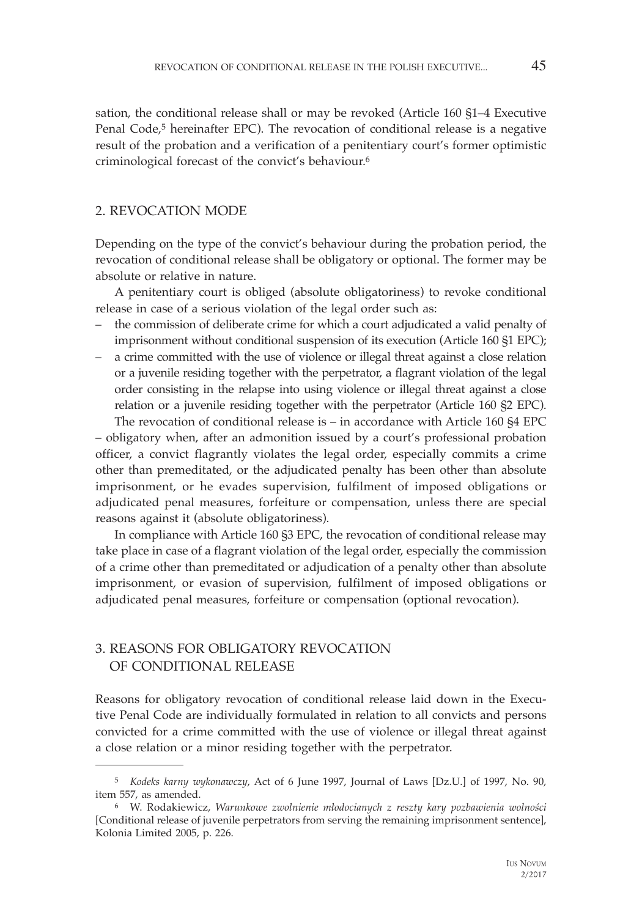sation, the conditional release shall or may be revoked (Article 160 §1–4 Executive Penal Code,<sup>5</sup> hereinafter EPC). The revocation of conditional release is a negative result of the probation and a verification of a penitentiary court's former optimistic criminological forecast of the convict's behaviour.6

#### 2. REVOCATION MODE

Depending on the type of the convict's behaviour during the probation period, the revocation of conditional release shall be obligatory or optional. The former may be absolute or relative in nature.

A penitentiary court is obliged (absolute obligatoriness) to revoke conditional release in case of a serious violation of the legal order such as:

- the commission of deliberate crime for which a court adjudicated a valid penalty of imprisonment without conditional suspension of its execution (Article 160 §1 EPC);
- a crime committed with the use of violence or illegal threat against a close relation or a juvenile residing together with the perpetrator, a flagrant violation of the legal order consisting in the relapse into using violence or illegal threat against a close relation or a juvenile residing together with the perpetrator (Article 160 §2 EPC).

The revocation of conditional release is – in accordance with Article 160 §4 EPC – obligatory when, after an admonition issued by a court's professional probation officer, a convict flagrantly violates the legal order, especially commits a crime other than premeditated, or the adjudicated penalty has been other than absolute imprisonment, or he evades supervision, fulfilment of imposed obligations or adjudicated penal measures, forfeiture or compensation, unless there are special reasons against it (absolute obligatoriness).

In compliance with Article 160 §3 EPC, the revocation of conditional release may take place in case of a flagrant violation of the legal order, especially the commission of a crime other than premeditated or adjudication of a penalty other than absolute imprisonment, or evasion of supervision, fulfilment of imposed obligations or adjudicated penal measures, forfeiture or compensation (optional revocation).

# 3. REASONS FOR OBLIGATORY REVOCATION OF CONDITIONAL RELEASE

Reasons for obligatory revocation of conditional release laid down in the Executive Penal Code are individually formulated in relation to all convicts and persons convicted for a crime committed with the use of violence or illegal threat against a close relation or a minor residing together with the perpetrator.

<sup>5</sup> *Kodeks karny wykonawczy*, Act of 6 June 1997, Journal of Laws [Dz.U.] of 1997, No. 90, item 557, as amended.

<sup>6</sup> W. Rodakiewicz, *Warunkowe zwolnienie młodocianych z reszty kary pozbawienia wolności* [Conditional release of juvenile perpetrators from serving the remaining imprisonment sentence], Kolonia Limited 2005, p. 226.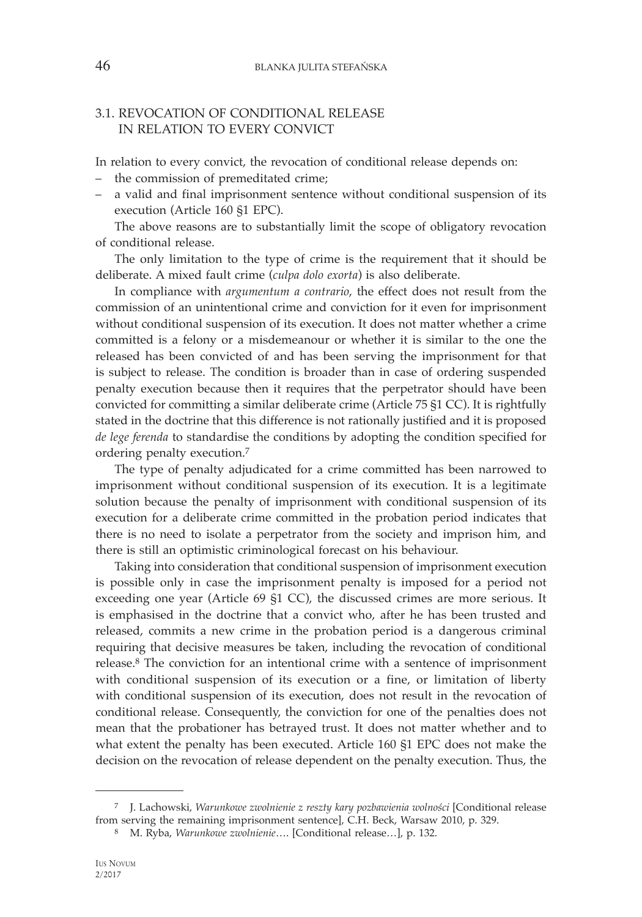# 3.1. REVOCATION OF CONDITIONAL RELEASE IN RELATION TO EVERY CONVICT

In relation to every convict, the revocation of conditional release depends on:

- the commission of premeditated crime;
- a valid and final imprisonment sentence without conditional suspension of its execution (Article 160 §1 EPC).

The above reasons are to substantially limit the scope of obligatory revocation of conditional release.

The only limitation to the type of crime is the requirement that it should be deliberate. A mixed fault crime (*culpa dolo exorta*) is also deliberate.

In compliance with *argumentum a contrario*, the effect does not result from the commission of an unintentional crime and conviction for it even for imprisonment without conditional suspension of its execution. It does not matter whether a crime committed is a felony or a misdemeanour or whether it is similar to the one the released has been convicted of and has been serving the imprisonment for that is subject to release. The condition is broader than in case of ordering suspended penalty execution because then it requires that the perpetrator should have been convicted for committing a similar deliberate crime (Article 75 §1 CC). It is rightfully stated in the doctrine that this difference is not rationally justified and it is proposed *de lege ferenda* to standardise the conditions by adopting the condition specified for ordering penalty execution.7

The type of penalty adjudicated for a crime committed has been narrowed to imprisonment without conditional suspension of its execution. It is a legitimate solution because the penalty of imprisonment with conditional suspension of its execution for a deliberate crime committed in the probation period indicates that there is no need to isolate a perpetrator from the society and imprison him, and there is still an optimistic criminological forecast on his behaviour.

Taking into consideration that conditional suspension of imprisonment execution is possible only in case the imprisonment penalty is imposed for a period not exceeding one year (Article 69 §1 CC), the discussed crimes are more serious. It is emphasised in the doctrine that a convict who, after he has been trusted and released, commits a new crime in the probation period is a dangerous criminal requiring that decisive measures be taken, including the revocation of conditional release.8 The conviction for an intentional crime with a sentence of imprisonment with conditional suspension of its execution or a fine, or limitation of liberty with conditional suspension of its execution, does not result in the revocation of conditional release. Consequently, the conviction for one of the penalties does not mean that the probationer has betrayed trust. It does not matter whether and to what extent the penalty has been executed. Article 160 §1 EPC does not make the decision on the revocation of release dependent on the penalty execution. Thus, the

<sup>7</sup> J. Lachowski, *Warunkowe zwolnienie z reszty kary pozbawienia wolności* [Conditional release from serving the remaining imprisonment sentence], C.H. Beck, Warsaw 2010, p. 329. 8 M. Ryba, *Warunkowe zwolnienie*…. [Conditional release…], p. 132.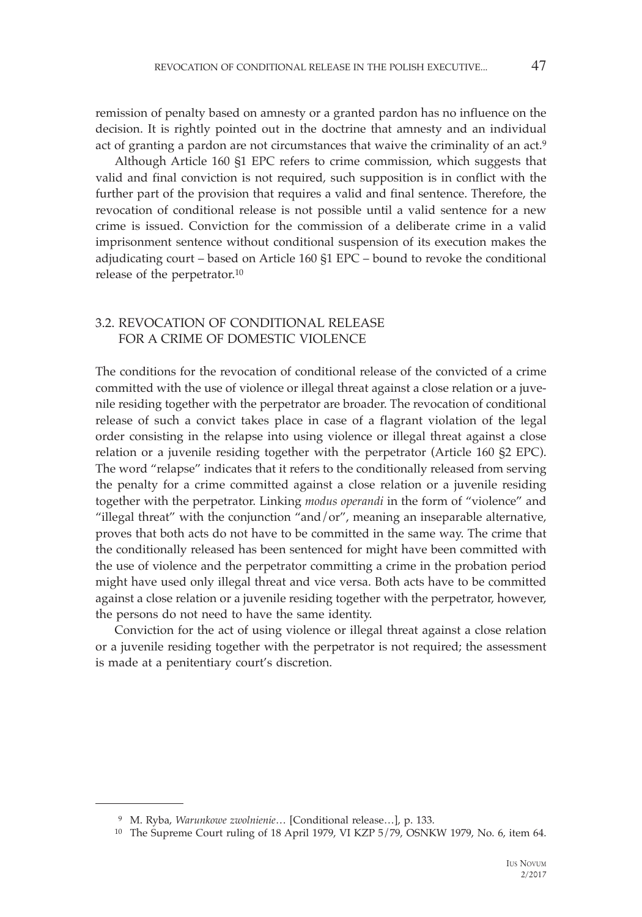remission of penalty based on amnesty or a granted pardon has no influence on the decision. It is rightly pointed out in the doctrine that amnesty and an individual act of granting a pardon are not circumstances that waive the criminality of an act.<sup>9</sup>

Although Article 160 §1 EPC refers to crime commission, which suggests that valid and final conviction is not required, such supposition is in conflict with the further part of the provision that requires a valid and final sentence. Therefore, the revocation of conditional release is not possible until a valid sentence for a new crime is issued. Conviction for the commission of a deliberate crime in a valid imprisonment sentence without conditional suspension of its execution makes the adjudicating court – based on Article 160 §1 EPC – bound to revoke the conditional release of the perpetrator.10

# 3.2. REVOCATION OF CONDITIONAL RELEASE FOR A CRIME OF DOMESTIC VIOLENCE

The conditions for the revocation of conditional release of the convicted of a crime committed with the use of violence or illegal threat against a close relation or a juvenile residing together with the perpetrator are broader. The revocation of conditional release of such a convict takes place in case of a flagrant violation of the legal order consisting in the relapse into using violence or illegal threat against a close relation or a juvenile residing together with the perpetrator (Article 160 §2 EPC). The word "relapse" indicates that it refers to the conditionally released from serving the penalty for a crime committed against a close relation or a juvenile residing together with the perpetrator. Linking *modus operandi* in the form of "violence" and "illegal threat" with the conjunction "and/or", meaning an inseparable alternative, proves that both acts do not have to be committed in the same way. The crime that the conditionally released has been sentenced for might have been committed with the use of violence and the perpetrator committing a crime in the probation period might have used only illegal threat and vice versa. Both acts have to be committed against a close relation or a juvenile residing together with the perpetrator, however, the persons do not need to have the same identity.

Conviction for the act of using violence or illegal threat against a close relation or a juvenile residing together with the perpetrator is not required; the assessment is made at a penitentiary court's discretion.

 <sup>9</sup> M. Ryba, *Warunkowe zwolnienie*… [Conditional release…], p. 133.

<sup>10</sup> The Supreme Court ruling of 18 April 1979, VI KZP 5/79, OSNKW 1979, No. 6, item 64.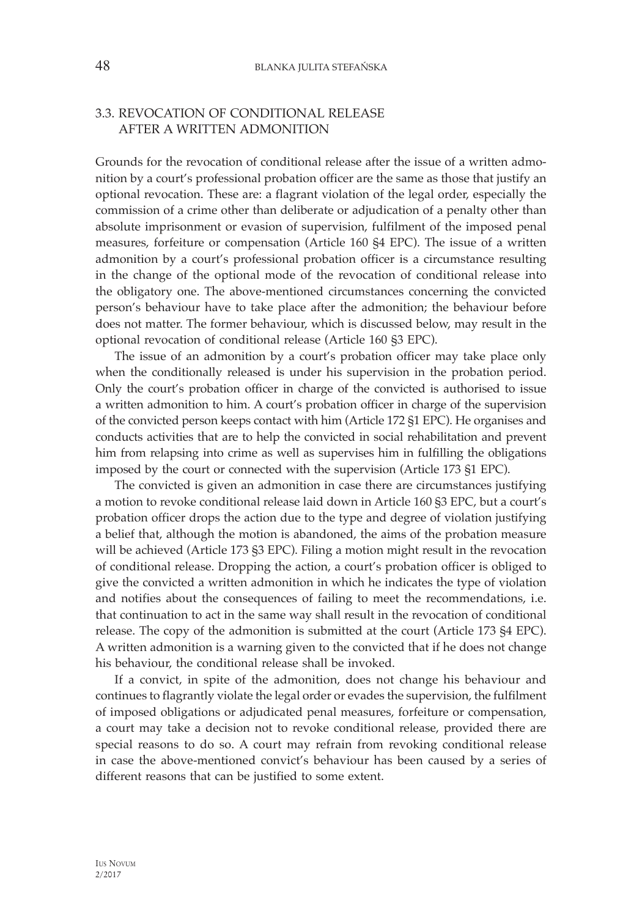# 3.3. REVOCATION OF CONDITIONAL RELEASE AFTER A WRITTEN ADMONITION

Grounds for the revocation of conditional release after the issue of a written admonition by a court's professional probation officer are the same as those that justify an optional revocation. These are: a flagrant violation of the legal order, especially the commission of a crime other than deliberate or adjudication of a penalty other than absolute imprisonment or evasion of supervision, fulfilment of the imposed penal measures, forfeiture or compensation (Article 160 §4 EPC). The issue of a written admonition by a court's professional probation officer is a circumstance resulting in the change of the optional mode of the revocation of conditional release into the obligatory one. The above-mentioned circumstances concerning the convicted person's behaviour have to take place after the admonition; the behaviour before does not matter. The former behaviour, which is discussed below, may result in the optional revocation of conditional release (Article 160 §3 EPC).

The issue of an admonition by a court's probation officer may take place only when the conditionally released is under his supervision in the probation period. Only the court's probation officer in charge of the convicted is authorised to issue a written admonition to him. A court's probation officer in charge of the supervision of the convicted person keeps contact with him (Article 172 §1 EPC). He organises and conducts activities that are to help the convicted in social rehabilitation and prevent him from relapsing into crime as well as supervises him in fulfilling the obligations imposed by the court or connected with the supervision (Article 173 §1 EPC).

The convicted is given an admonition in case there are circumstances justifying a motion to revoke conditional release laid down in Article 160 §3 EPC, but a court's probation officer drops the action due to the type and degree of violation justifying a belief that, although the motion is abandoned, the aims of the probation measure will be achieved (Article 173 §3 EPC). Filing a motion might result in the revocation of conditional release. Dropping the action, a court's probation officer is obliged to give the convicted a written admonition in which he indicates the type of violation and notifies about the consequences of failing to meet the recommendations, i.e. that continuation to act in the same way shall result in the revocation of conditional release. The copy of the admonition is submitted at the court (Article 173 §4 EPC). A written admonition is a warning given to the convicted that if he does not change his behaviour, the conditional release shall be invoked.

If a convict, in spite of the admonition, does not change his behaviour and continues to flagrantly violate the legal order or evades the supervision, the fulfilment of imposed obligations or adjudicated penal measures, forfeiture or compensation, a court may take a decision not to revoke conditional release, provided there are special reasons to do so. A court may refrain from revoking conditional release in case the above-mentioned convict's behaviour has been caused by a series of different reasons that can be justified to some extent.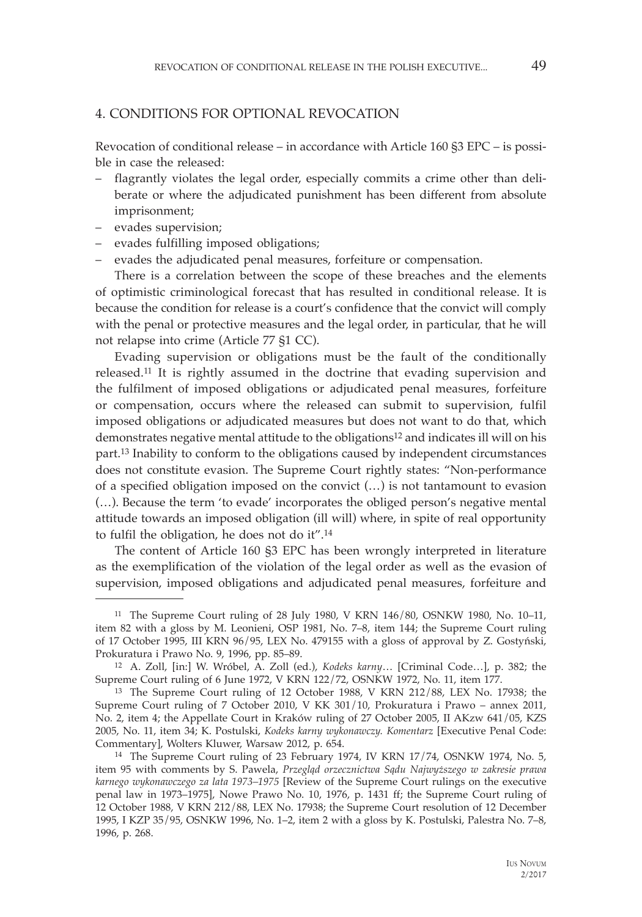# 4. CONDITIONS FOR OPTIONAL REVOCATION

Revocation of conditional release – in accordance with Article 160 §3 EPC – is possible in case the released:

- flagrantly violates the legal order, especially commits a crime other than deliberate or where the adjudicated punishment has been different from absolute imprisonment;
- evades supervision;
- evades fulfilling imposed obligations;
- evades the adjudicated penal measures, forfeiture or compensation.

There is a correlation between the scope of these breaches and the elements of optimistic criminological forecast that has resulted in conditional release. It is because the condition for release is a court's confidence that the convict will comply with the penal or protective measures and the legal order, in particular, that he will not relapse into crime (Article 77 §1 CC).

Evading supervision or obligations must be the fault of the conditionally released.11 It is rightly assumed in the doctrine that evading supervision and the fulfilment of imposed obligations or adjudicated penal measures, forfeiture or compensation, occurs where the released can submit to supervision, fulfil imposed obligations or adjudicated measures but does not want to do that, which demonstrates negative mental attitude to the obligations<sup>12</sup> and indicates ill will on his part.13 Inability to conform to the obligations caused by independent circumstances does not constitute evasion. The Supreme Court rightly states: "Non-performance of a specified obligation imposed on the convict (…) is not tantamount to evasion (…). Because the term 'to evade' incorporates the obliged person's negative mental attitude towards an imposed obligation (ill will) where, in spite of real opportunity to fulfil the obligation, he does not do it".14

The content of Article 160 §3 EPC has been wrongly interpreted in literature as the exemplification of the violation of the legal order as well as the evasion of supervision, imposed obligations and adjudicated penal measures, forfeiture and

<sup>11</sup> The Supreme Court ruling of 28 July 1980, V KRN 146/80, OSNKW 1980, No. 10–11, item 82 with a gloss by M. Leonieni, OSP 1981, No. 7–8, item 144; the Supreme Court ruling of 17 October 1995, III KRN 96/95, LEX No. 479155 with a gloss of approval by Z. Gostyński, Prokuratura i Prawo No. 9, 1996, pp. 85–89.

<sup>12</sup> A. Zoll, [in:] W. Wróbel, A. Zoll (ed.), *Kodeks karny*… [Criminal Code…], p. 382; the Supreme Court ruling of 6 June 1972, V KRN 122/72, OSNKW 1972, No. 11, item 177.

<sup>13</sup> The Supreme Court ruling of 12 October 1988, V KRN 212/88, LEX No. 17938; the Supreme Court ruling of 7 October 2010, V KK 301/10, Prokuratura i Prawo – annex 2011, No. 2, item 4; the Appellate Court in Kraków ruling of 27 October 2005, II AKzw 641/05, KZS 2005, No. 11, item 34; K. Postulski, *Kodeks karny wykonawczy. Komentarz* [Executive Penal Code: Commentary], Wolters Kluwer, Warsaw 2012, p. 654.

<sup>14</sup> The Supreme Court ruling of 23 February 1974, IV KRN 17/74, OSNKW 1974, No. 5, item 95 with comments by S. Pawela, *Przegląd orzecznictwa Sądu Najwyższego w zakresie prawa karnego wykonawczego za lata 1973–1975* [Review of the Supreme Court rulings on the executive penal law in 1973–1975], Nowe Prawo No. 10, 1976, p. 1431 ff; the Supreme Court ruling of 12 October 1988, V KRN 212/88, LEX No. 17938; the Supreme Court resolution of 12 December 1995, I KZP 35/95, OSNKW 1996, No. 1–2, item 2 with a gloss by K. Postulski, Palestra No. 7–8, 1996, p. 268.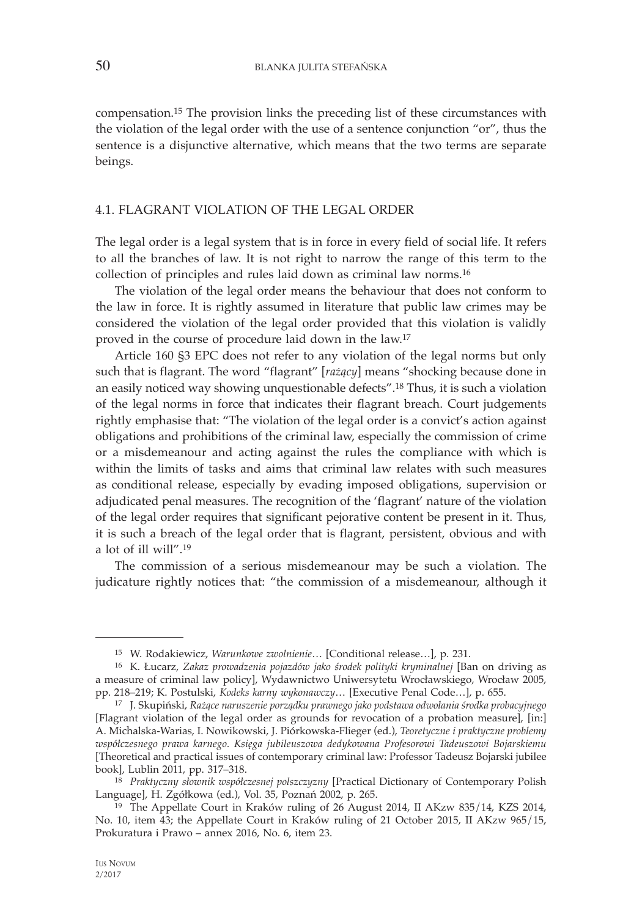compensation.15 The provision links the preceding list of these circumstances with the violation of the legal order with the use of a sentence conjunction "or", thus the sentence is a disjunctive alternative, which means that the two terms are separate beings.

#### 4.1. FLAGRANT VIOLATION OF THE LEGAL ORDER

The legal order is a legal system that is in force in every field of social life. It refers to all the branches of law. It is not right to narrow the range of this term to the collection of principles and rules laid down as criminal law norms.16

The violation of the legal order means the behaviour that does not conform to the law in force. It is rightly assumed in literature that public law crimes may be considered the violation of the legal order provided that this violation is validly proved in the course of procedure laid down in the law.17

Article 160 §3 EPC does not refer to any violation of the legal norms but only such that is flagrant. The word "flagrant" [*rażący*] means "shocking because done in an easily noticed way showing unquestionable defects".18 Thus, it is such a violation of the legal norms in force that indicates their flagrant breach. Court judgements rightly emphasise that: "The violation of the legal order is a convict's action against obligations and prohibitions of the criminal law, especially the commission of crime or a misdemeanour and acting against the rules the compliance with which is within the limits of tasks and aims that criminal law relates with such measures as conditional release, especially by evading imposed obligations, supervision or adjudicated penal measures. The recognition of the 'flagrant' nature of the violation of the legal order requires that significant pejorative content be present in it. Thus, it is such a breach of the legal order that is flagrant, persistent, obvious and with a lot of ill will".19

The commission of a serious misdemeanour may be such a violation. The judicature rightly notices that: "the commission of a misdemeanour, although it

<sup>15</sup> W. Rodakiewicz, *Warunkowe zwolnienie*… [Conditional release…], p. 231.

<sup>16</sup> K. Łucarz, *Zakaz prowadzenia pojazdów jako środek polityki kryminalnej* [Ban on driving as a measure of criminal law policy], Wydawnictwo Uniwersytetu Wrocławskiego, Wrocław 2005, pp. 218–219; K. Postulski, *Kodeks karny wykonawczy*… [Executive Penal Code…], p. 655.

<sup>17</sup> J. Skupiński, *Rażące naruszenie porządku prawnego jako podstawa odwołania środka probacyjnego* [Flagrant violation of the legal order as grounds for revocation of a probation measure], [in:] A. Michalska-Warias, I. Nowikowski, J. Piórkowska-Flieger (ed.), *Teoretyczne i praktyczne problemy współczesnego prawa karnego. Księga jubileuszowa dedykowana Profesorowi Tadeuszowi Bojarskiemu* [Theoretical and practical issues of contemporary criminal law: Professor Tadeusz Bojarski jubilee book], Lublin 2011, pp. 317–318.

<sup>18</sup> *Praktyczny słownik współczesnej polszczyzny* [Practical Dictionary of Contemporary Polish Language], H. Zgółkowa (ed.), Vol. 35, Poznań 2002, p. 265.

<sup>&</sup>lt;sup>19</sup> The Appellate Court in Kraków ruling of 26 August 2014, II AKzw 835/14, KZS 2014, No. 10, item 43; the Appellate Court in Kraków ruling of 21 October 2015, II AKzw 965/15, Prokuratura i Prawo – annex 2016, No. 6, item 23.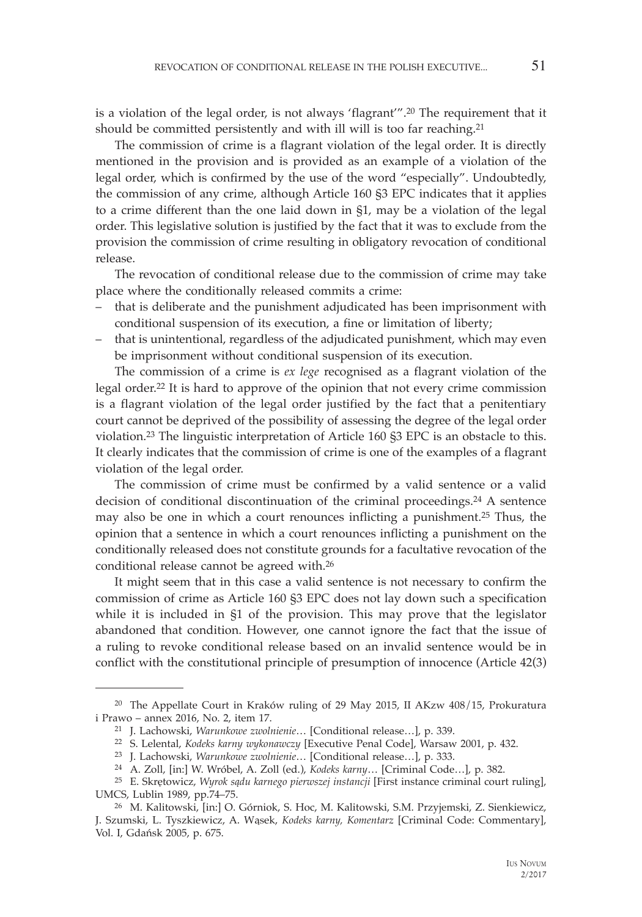is a violation of the legal order, is not always 'flagrant'".20 The requirement that it should be committed persistently and with ill will is too far reaching.21

The commission of crime is a flagrant violation of the legal order. It is directly mentioned in the provision and is provided as an example of a violation of the legal order, which is confirmed by the use of the word "especially". Undoubtedly, the commission of any crime, although Article 160 §3 EPC indicates that it applies to a crime different than the one laid down in §1, may be a violation of the legal order. This legislative solution is justified by the fact that it was to exclude from the provision the commission of crime resulting in obligatory revocation of conditional release.

The revocation of conditional release due to the commission of crime may take place where the conditionally released commits a crime:

- that is deliberate and the punishment adjudicated has been imprisonment with conditional suspension of its execution, a fine or limitation of liberty;
- that is unintentional, regardless of the adjudicated punishment, which may even be imprisonment without conditional suspension of its execution.

The commission of a crime is *ex lege* recognised as a flagrant violation of the legal order.22 It is hard to approve of the opinion that not every crime commission is a flagrant violation of the legal order justified by the fact that a penitentiary court cannot be deprived of the possibility of assessing the degree of the legal order violation.23 The linguistic interpretation of Article 160 §3 EPC is an obstacle to this. It clearly indicates that the commission of crime is one of the examples of a flagrant violation of the legal order.

The commission of crime must be confirmed by a valid sentence or a valid decision of conditional discontinuation of the criminal proceedings.24 A sentence may also be one in which a court renounces inflicting a punishment.25 Thus, the opinion that a sentence in which a court renounces inflicting a punishment on the conditionally released does not constitute grounds for a facultative revocation of the conditional release cannot be agreed with.26

It might seem that in this case a valid sentence is not necessary to confirm the commission of crime as Article 160 §3 EPC does not lay down such a specification while it is included in §1 of the provision. This may prove that the legislator abandoned that condition. However, one cannot ignore the fact that the issue of a ruling to revoke conditional release based on an invalid sentence would be in conflict with the constitutional principle of presumption of innocence (Article 42(3)

<sup>20</sup> The Appellate Court in Kraków ruling of 29 May 2015, II AKzw 408/15, Prokuratura i Prawo – annex 2016, No. 2, item 17.

<sup>21</sup> J. Lachowski, *Warunkowe zwolnienie*… [Conditional release…], p. 339.

<sup>22</sup> S. Lelental, *Kodeks karny wykonawczy* [Executive Penal Code], Warsaw 2001, p. 432.

<sup>23</sup> J. Lachowski, *Warunkowe zwolnienie*… [Conditional release…], p. 333.

<sup>24</sup> A. Zoll, [in:] W. Wróbel, A. Zoll (ed.), *Kodeks karny*… [Criminal Code…], p. 382.

<sup>25</sup> E. Skrętowicz, *Wyrok sądu karnego pierwszej instancji* [First instance criminal court ruling], UMCS, Lublin 1989, pp.74–75.

<sup>26</sup> M. Kalitowski, [in:] O. Górniok, S. Hoc, M. Kalitowski, S.M. Przyjemski, Z. Sienkiewicz, J. Szumski, L. Tyszkiewicz, A. Wąsek, *Kodeks karny, Komentarz* [Criminal Code: Commentary], Vol. I, Gdańsk 2005, p. 675.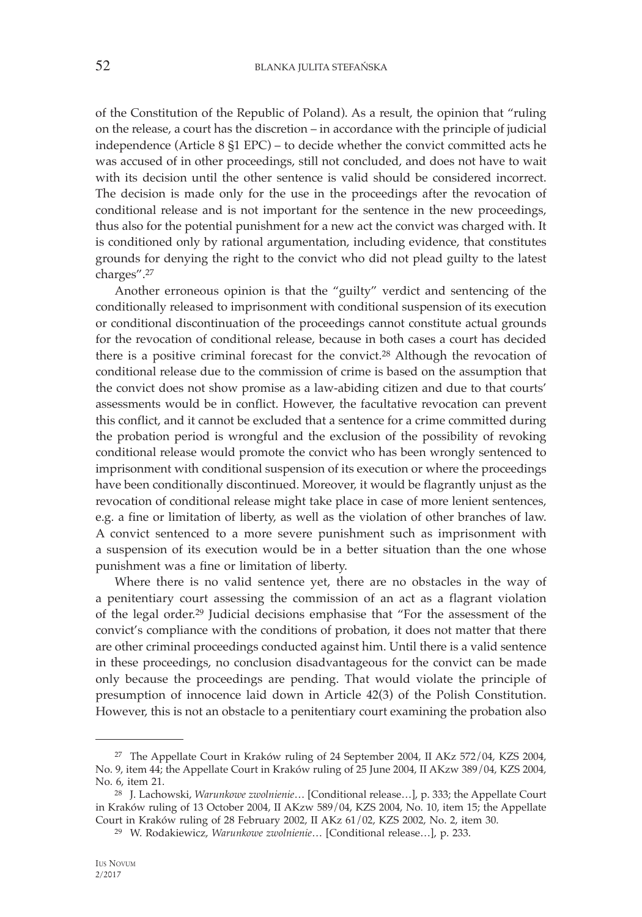of the Constitution of the Republic of Poland). As a result, the opinion that "ruling on the release, a court has the discretion – in accordance with the principle of judicial independence (Article 8 §1 EPC) – to decide whether the convict committed acts he was accused of in other proceedings, still not concluded, and does not have to wait with its decision until the other sentence is valid should be considered incorrect. The decision is made only for the use in the proceedings after the revocation of conditional release and is not important for the sentence in the new proceedings, thus also for the potential punishment for a new act the convict was charged with. It is conditioned only by rational argumentation, including evidence, that constitutes grounds for denying the right to the convict who did not plead guilty to the latest charges".27

Another erroneous opinion is that the "guilty" verdict and sentencing of the conditionally released to imprisonment with conditional suspension of its execution or conditional discontinuation of the proceedings cannot constitute actual grounds for the revocation of conditional release, because in both cases a court has decided there is a positive criminal forecast for the convict.28 Although the revocation of conditional release due to the commission of crime is based on the assumption that the convict does not show promise as a law-abiding citizen and due to that courts' assessments would be in conflict. However, the facultative revocation can prevent this conflict, and it cannot be excluded that a sentence for a crime committed during the probation period is wrongful and the exclusion of the possibility of revoking conditional release would promote the convict who has been wrongly sentenced to imprisonment with conditional suspension of its execution or where the proceedings have been conditionally discontinued. Moreover, it would be flagrantly unjust as the revocation of conditional release might take place in case of more lenient sentences, e.g. a fine or limitation of liberty, as well as the violation of other branches of law. A convict sentenced to a more severe punishment such as imprisonment with a suspension of its execution would be in a better situation than the one whose punishment was a fine or limitation of liberty.

Where there is no valid sentence yet, there are no obstacles in the way of a penitentiary court assessing the commission of an act as a flagrant violation of the legal order.29 Judicial decisions emphasise that "For the assessment of the convict's compliance with the conditions of probation, it does not matter that there are other criminal proceedings conducted against him. Until there is a valid sentence in these proceedings, no conclusion disadvantageous for the convict can be made only because the proceedings are pending. That would violate the principle of presumption of innocence laid down in Article 42(3) of the Polish Constitution. However, this is not an obstacle to a penitentiary court examining the probation also

<sup>27</sup> The Appellate Court in Kraków ruling of 24 September 2004, II AKz 572/04, KZS 2004, No. 9, item 44; the Appellate Court in Kraków ruling of 25 June 2004, II AKzw 389/04, KZS 2004, No. 6, item 21.

<sup>28</sup> J. Lachowski, *Warunkowe zwolnienie*… [Conditional release…], p. 333; the Appellate Court in Kraków ruling of 13 October 2004, II AKzw 589/04, KZS 2004, No. 10, item 15; the Appellate Court in Kraków ruling of 28 February 2002, II AKz 61/02, KZS 2002, No. 2, item 30.

<sup>29</sup> W. Rodakiewicz, *Warunkowe zwolnienie*… [Conditional release…], p. 233.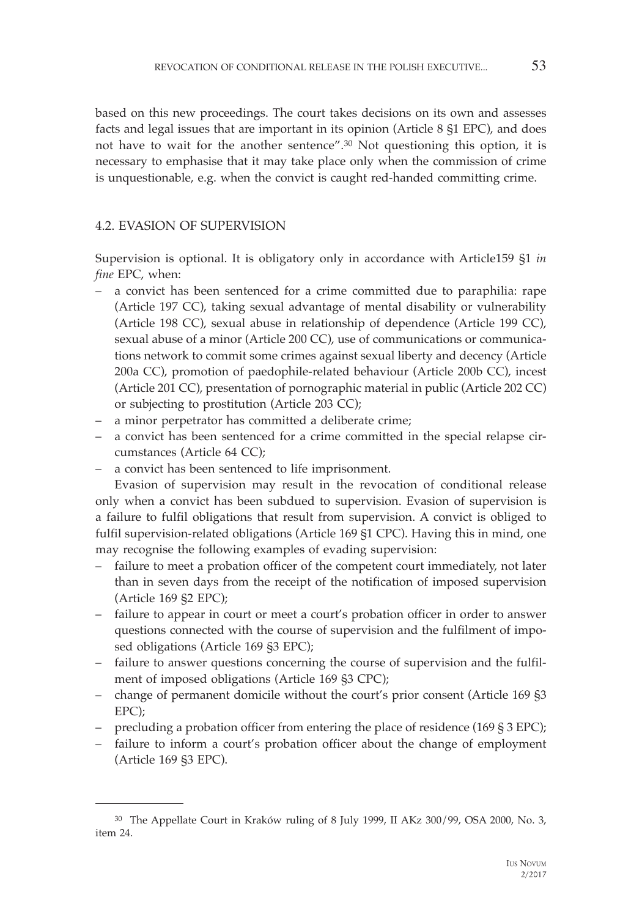based on this new proceedings. The court takes decisions on its own and assesses facts and legal issues that are important in its opinion (Article 8 §1 EPC), and does not have to wait for the another sentence".30 Not questioning this option, it is necessary to emphasise that it may take place only when the commission of crime is unquestionable, e.g. when the convict is caught red-handed committing crime.

# 4.2. EVASION OF SUPERVISION

Supervision is optional. It is obligatory only in accordance with Article159 §1 *in fine* EPC, when:

- a convict has been sentenced for a crime committed due to paraphilia: rape (Article 197 CC), taking sexual advantage of mental disability or vulnerability (Article 198 CC), sexual abuse in relationship of dependence (Article 199 CC), sexual abuse of a minor (Article 200 CC), use of communications or communications network to commit some crimes against sexual liberty and decency (Article 200a CC), promotion of paedophile-related behaviour (Article 200b CC), incest (Article 201 CC), presentation of pornographic material in public (Article 202 CC) or subjecting to prostitution (Article 203 CC);
- a minor perpetrator has committed a deliberate crime;
- a convict has been sentenced for a crime committed in the special relapse circumstances (Article 64 CC);
- a convict has been sentenced to life imprisonment.

Evasion of supervision may result in the revocation of conditional release only when a convict has been subdued to supervision. Evasion of supervision is a failure to fulfil obligations that result from supervision. A convict is obliged to fulfil supervision-related obligations (Article 169 §1 CPC). Having this in mind, one may recognise the following examples of evading supervision:

- failure to meet a probation officer of the competent court immediately, not later than in seven days from the receipt of the notification of imposed supervision (Article 169 §2 EPC);
- failure to appear in court or meet a court's probation officer in order to answer questions connected with the course of supervision and the fulfilment of imposed obligations (Article 169 §3 EPC);
- failure to answer questions concerning the course of supervision and the fulfilment of imposed obligations (Article 169 §3 CPC);
- change of permanent domicile without the court's prior consent (Article 169 §3 EPC);
- precluding a probation officer from entering the place of residence (169 § 3 EPC);
- failure to inform a court's probation officer about the change of employment (Article 169 §3 EPC).

<sup>30</sup> The Appellate Court in Kraków ruling of 8 July 1999, II AKz 300/99, OSA 2000, No. 3, item 24.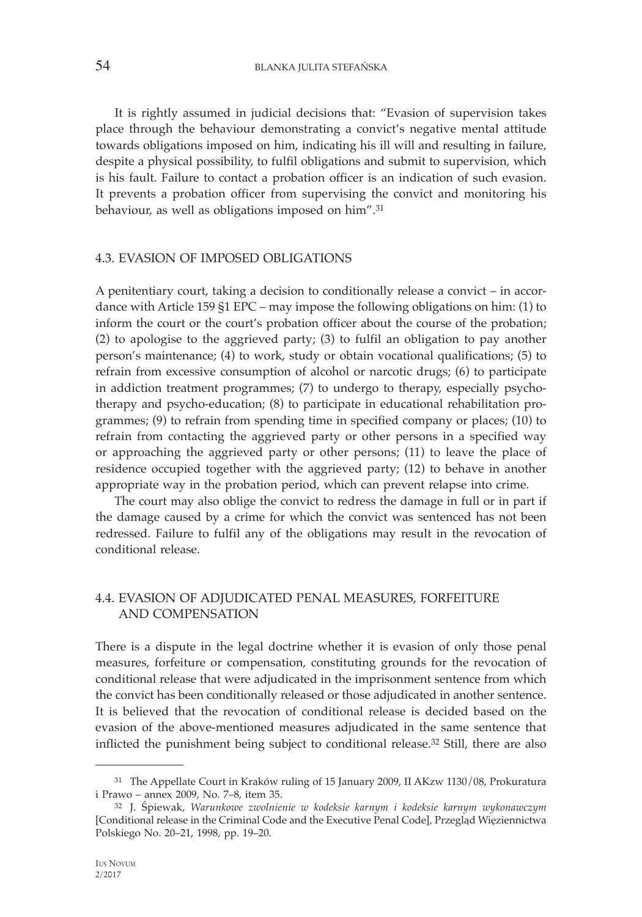It is rightly assumed in judicial decisions that: "Evasion of supervision takes place through the behaviour demonstrating a convict's negative mental attitude towards obligations imposed on him, indicating his ill will and resulting in failure, despite a physical possibility, to fulfil obligations and submit to supervision, which is his fault. Failure to contact a probation officer is an indication of such evasion. It prevents a probation officer from supervising the convict and monitoring his behaviour, as well as obligations imposed on him".31

#### 4.3. EVASION OF IMPOSED OBLIGATIONS

A penitentiary court, taking a decision to conditionally release a convict – in accordance with Article 159 §1 EPC – may impose the following obligations on him: (1) to inform the court or the court's probation officer about the course of the probation; (2) to apologise to the aggrieved party; (3) to fulfil an obligation to pay another person's maintenance; (4) to work, study or obtain vocational qualifications; (5) to refrain from excessive consumption of alcohol or narcotic drugs; (6) to participate in addiction treatment programmes; (7) to undergo to therapy, especially psychotherapy and psycho-education; (8) to participate in educational rehabilitation programmes; (9) to refrain from spending time in specified company or places; (10) to refrain from contacting the aggrieved party or other persons in a specified way or approaching the aggrieved party or other persons; (11) to leave the place of residence occupied together with the aggrieved party; (12) to behave in another appropriate way in the probation period, which can prevent relapse into crime.

The court may also oblige the convict to redress the damage in full or in part if the damage caused by a crime for which the convict was sentenced has not been redressed. Failure to fulfil any of the obligations may result in the revocation of conditional release.

# 4.4. EVASION OF ADJUDICATED PENAL MEASURES, FORFEITURE AND COMPENSATION

There is a dispute in the legal doctrine whether it is evasion of only those penal measures, forfeiture or compensation, constituting grounds for the revocation of conditional release that were adjudicated in the imprisonment sentence from which the convict has been conditionally released or those adjudicated in another sentence. It is believed that the revocation of conditional release is decided based on the evasion of the above-mentioned measures adjudicated in the same sentence that inflicted the punishment being subject to conditional release.32 Still, there are also

<sup>31</sup> The Appellate Court in Kraków ruling of 15 January 2009, II AKzw 1130/08, Prokuratura i Prawo – annex 2009, No. 7–8, item 35.

<sup>32</sup> J. Śpiewak, *Warunkowe zwolnienie w kodeksie karnym i kodeksie karnym wykonawczym* [Conditional release in the Criminal Code and the Executive Penal Code], Przegląd Więziennictwa Polskiego No. 20–21, 1998, pp. 19–20.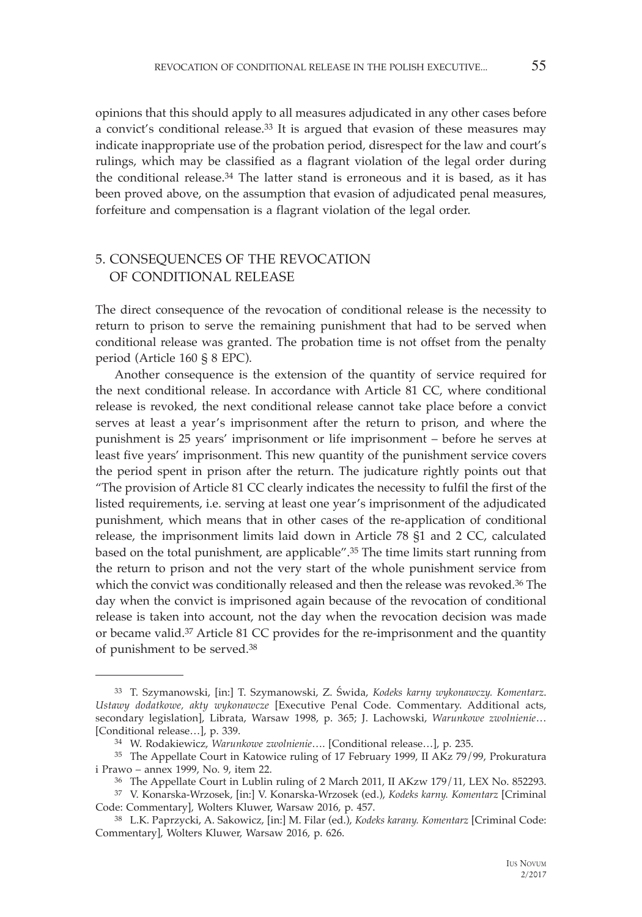opinions that this should apply to all measures adjudicated in any other cases before a convict's conditional release.<sup>33</sup> It is argued that evasion of these measures may indicate inappropriate use of the probation period, disrespect for the law and court's rulings, which may be classified as a flagrant violation of the legal order during the conditional release.34 The latter stand is erroneous and it is based, as it has been proved above, on the assumption that evasion of adjudicated penal measures, forfeiture and compensation is a flagrant violation of the legal order.

# 5. CONSEQUENCES OF THE REVOCATION OF CONDITIONAL RELEASE

The direct consequence of the revocation of conditional release is the necessity to return to prison to serve the remaining punishment that had to be served when conditional release was granted. The probation time is not offset from the penalty period (Article 160 § 8 EPC).

Another consequence is the extension of the quantity of service required for the next conditional release. In accordance with Article 81 CC, where conditional release is revoked, the next conditional release cannot take place before a convict serves at least a year's imprisonment after the return to prison, and where the punishment is 25 years' imprisonment or life imprisonment – before he serves at least five years' imprisonment. This new quantity of the punishment service covers the period spent in prison after the return. The judicature rightly points out that "The provision of Article 81 CC clearly indicates the necessity to fulfil the first of the listed requirements, i.e. serving at least one year's imprisonment of the adjudicated punishment, which means that in other cases of the re-application of conditional release, the imprisonment limits laid down in Article 78 §1 and 2 CC, calculated based on the total punishment, are applicable".35 The time limits start running from the return to prison and not the very start of the whole punishment service from which the convict was conditionally released and then the release was revoked.<sup>36</sup> The day when the convict is imprisoned again because of the revocation of conditional release is taken into account, not the day when the revocation decision was made or became valid.37 Article 81 CC provides for the re-imprisonment and the quantity of punishment to be served.38

<sup>33</sup> T. Szymanowski, [in:] T. Szymanowski, Z. Świda, *Kodeks karny wykonawczy. Komentarz*. *Ustawy dodatkowe, akty wykonawcze* [Executive Penal Code. Commentary. Additional acts, secondary legislation], Librata, Warsaw 1998, p. 365; J. Lachowski, *Warunkowe zwolnienie*… [Conditional release...], p. 339.

<sup>34</sup> W. Rodakiewicz, *Warunkowe zwolnienie*…. [Conditional release…], p. 235.

<sup>35</sup> The Appellate Court in Katowice ruling of 17 February 1999, II AKz 79/99, Prokuratura i Prawo – annex 1999, No. 9, item 22.

<sup>36</sup> The Appellate Court in Lublin ruling of 2 March 2011, II AKzw 179/11, LEX No. 852293.

<sup>37</sup> V. Konarska-Wrzosek, [in:] V. Konarska-Wrzosek (ed.), *Kodeks karny. Komentarz* [Criminal Code: Commentary], Wolters Kluwer, Warsaw 2016, p. 457.

<sup>38</sup> L.K. Paprzycki, A. Sakowicz, [in:] M. Filar (ed.), *Kodeks karany. Komentarz* [Criminal Code: Commentary], Wolters Kluwer, Warsaw 2016, p. 626.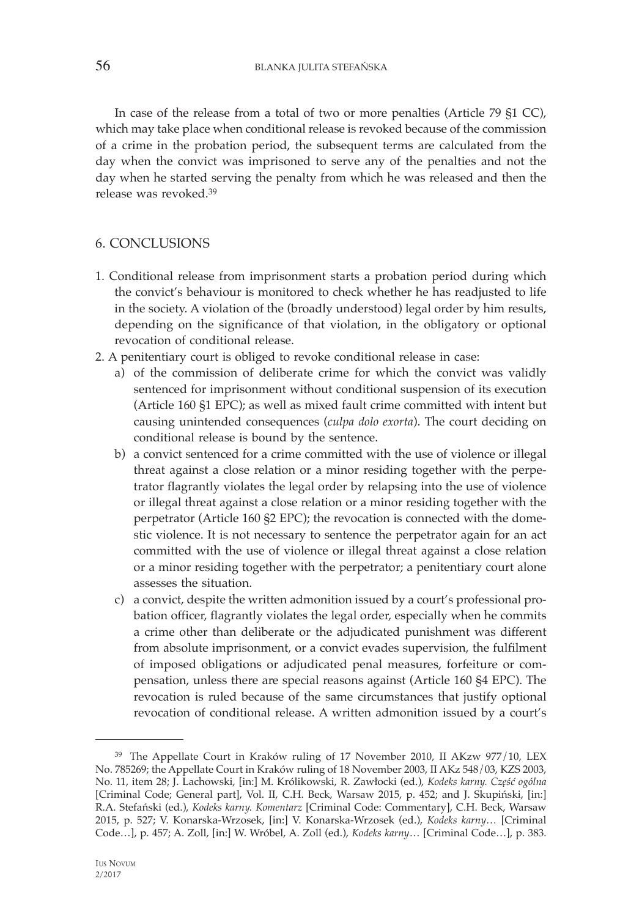In case of the release from a total of two or more penalties (Article 79 §1 CC), which may take place when conditional release is revoked because of the commission of a crime in the probation period, the subsequent terms are calculated from the day when the convict was imprisoned to serve any of the penalties and not the day when he started serving the penalty from which he was released and then the release was revoked.39

# 6. CONCLUSIONS

- 1. Conditional release from imprisonment starts a probation period during which the convict's behaviour is monitored to check whether he has readjusted to life in the society. A violation of the (broadly understood) legal order by him results, depending on the significance of that violation, in the obligatory or optional revocation of conditional release.
- 2. A penitentiary court is obliged to revoke conditional release in case:
	- a) of the commission of deliberate crime for which the convict was validly sentenced for imprisonment without conditional suspension of its execution (Article 160 §1 EPC); as well as mixed fault crime committed with intent but causing unintended consequences (*culpa dolo exorta*). The court deciding on conditional release is bound by the sentence.
	- b) a convict sentenced for a crime committed with the use of violence or illegal threat against a close relation or a minor residing together with the perpetrator flagrantly violates the legal order by relapsing into the use of violence or illegal threat against a close relation or a minor residing together with the perpetrator (Article 160 §2 EPC); the revocation is connected with the domestic violence. It is not necessary to sentence the perpetrator again for an act committed with the use of violence or illegal threat against a close relation or a minor residing together with the perpetrator; a penitentiary court alone assesses the situation.
	- c) a convict, despite the written admonition issued by a court's professional probation officer, flagrantly violates the legal order, especially when he commits a crime other than deliberate or the adjudicated punishment was different from absolute imprisonment, or a convict evades supervision, the fulfilment of imposed obligations or adjudicated penal measures, forfeiture or compensation, unless there are special reasons against (Article 160 §4 EPC). The revocation is ruled because of the same circumstances that justify optional revocation of conditional release. A written admonition issued by a court's

<sup>39</sup> The Appellate Court in Kraków ruling of 17 November 2010, II AKzw 977/10, LEX No. 785269; the Appellate Court in Kraków ruling of 18 November 2003, II AKz 548/03, KZS 2003, No. 11, item 28; J. Lachowski, [in:] M. Królikowski, R. Zawłocki (ed.), *Kodeks karny. Część ogólna* [Criminal Code; General part], Vol. II, C.H. Beck, Warsaw 2015, p. 452; and J. Skupiński, [in:] R.A. Stefański (ed.), *Kodeks karny. Komentarz* [Criminal Code: Commentary], C.H. Beck, Warsaw 2015, p. 527; V. Konarska-Wrzosek, [in:] V. Konarska-Wrzosek (ed.), *Kodeks karny…* [Criminal Code…], p. 457; A. Zoll, [in:] W. Wróbel, A. Zoll (ed.), *Kodeks karny*… [Criminal Code…], p. 383.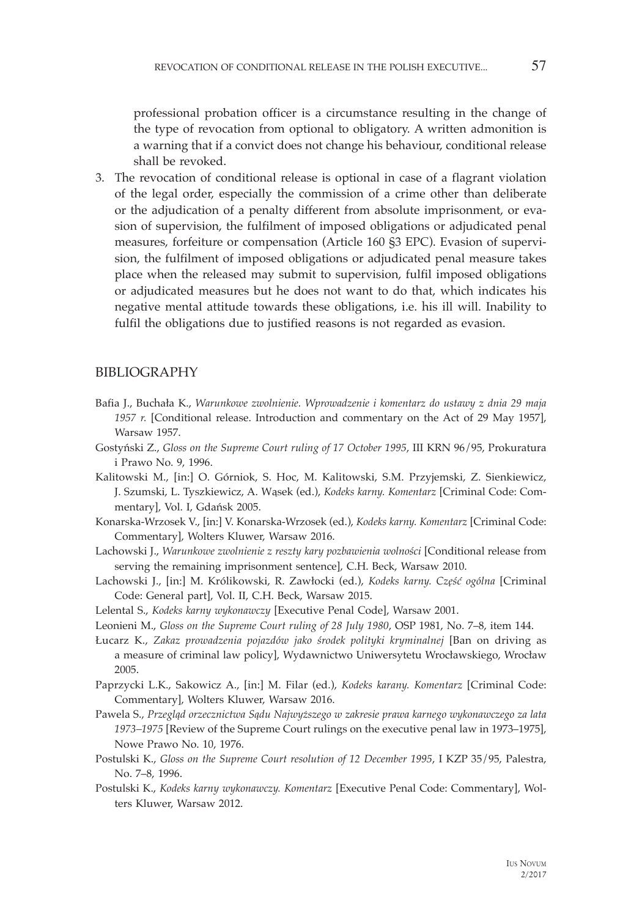professional probation officer is a circumstance resulting in the change of the type of revocation from optional to obligatory. A written admonition is a warning that if a convict does not change his behaviour, conditional release shall be revoked.

3. The revocation of conditional release is optional in case of a flagrant violation of the legal order, especially the commission of a crime other than deliberate or the adjudication of a penalty different from absolute imprisonment, or evasion of supervision, the fulfilment of imposed obligations or adjudicated penal measures, forfeiture or compensation (Article 160 §3 EPC). Evasion of supervision, the fulfilment of imposed obligations or adjudicated penal measure takes place when the released may submit to supervision, fulfil imposed obligations or adjudicated measures but he does not want to do that, which indicates his negative mental attitude towards these obligations, i.e. his ill will. Inability to fulfil the obligations due to justified reasons is not regarded as evasion.

#### BIBLIOGRAPHY

- Bafia J., Buchała K., *Warunkowe zwolnienie. Wprowadzenie i komentarz do ustawy z dnia 29 maja 1957 r.* [Conditional release. Introduction and commentary on the Act of 29 May 1957], Warsaw 1957.
- Gostyński Z., *Gloss on the Supreme Court ruling of 17 October 1995*, III KRN 96/95, Prokuratura i Prawo No. 9, 1996.
- Kalitowski M., [in:] O. Górniok, S. Hoc, M. Kalitowski, S.M. Przyjemski, Z. Sienkiewicz, J. Szumski, L. Tyszkiewicz, A. Wąsek (ed.), *Kodeks karny. Komentarz* [Criminal Code: Commentary], Vol. I, Gdańsk 2005.
- Konarska-Wrzosek V., [in:] V. Konarska-Wrzosek (ed.), *Kodeks karny. Komentarz* [Criminal Code: Commentary], Wolters Kluwer, Warsaw 2016.
- Lachowski J., *Warunkowe zwolnienie z reszty kary pozbawienia wolności* [Conditional release from serving the remaining imprisonment sentence], C.H. Beck, Warsaw 2010.
- Lachowski J., [in:] M. Królikowski, R. Zawłocki (ed.), *Kodeks karny. Część ogólna* [Criminal Code: General part], Vol. II, C.H. Beck, Warsaw 2015.
- Lelental S., *Kodeks karny wykonawczy* [Executive Penal Code], Warsaw 2001.
- Leonieni M., *Gloss on the Supreme Court ruling of 28 July 1980*, OSP 1981, No. 7–8, item 144.
- Łucarz K., *Zakaz prowadzenia pojazdów jako środek polityki kryminalnej* [Ban on driving as a measure of criminal law policy], Wydawnictwo Uniwersytetu Wrocławskiego, Wrocław 2005.
- Paprzycki L.K., Sakowicz A., [in:] M. Filar (ed.), *Kodeks karany. Komentarz* [Criminal Code: Commentary], Wolters Kluwer, Warsaw 2016.
- Pawela S., *Przegląd orzecznictwa Sądu Najwyższego w zakresie prawa karnego wykonawczego za lata 1973–1975* [Review of the Supreme Court rulings on the executive penal law in 1973–1975], Nowe Prawo No. 10, 1976.
- Postulski K., *Gloss on the Supreme Court resolution of 12 December 1995*, I KZP 35/95, Palestra, No. 7–8, 1996.
- Postulski K., *Kodeks karny wykonawczy. Komentarz* [Executive Penal Code: Commentary], Wolters Kluwer, Warsaw 2012.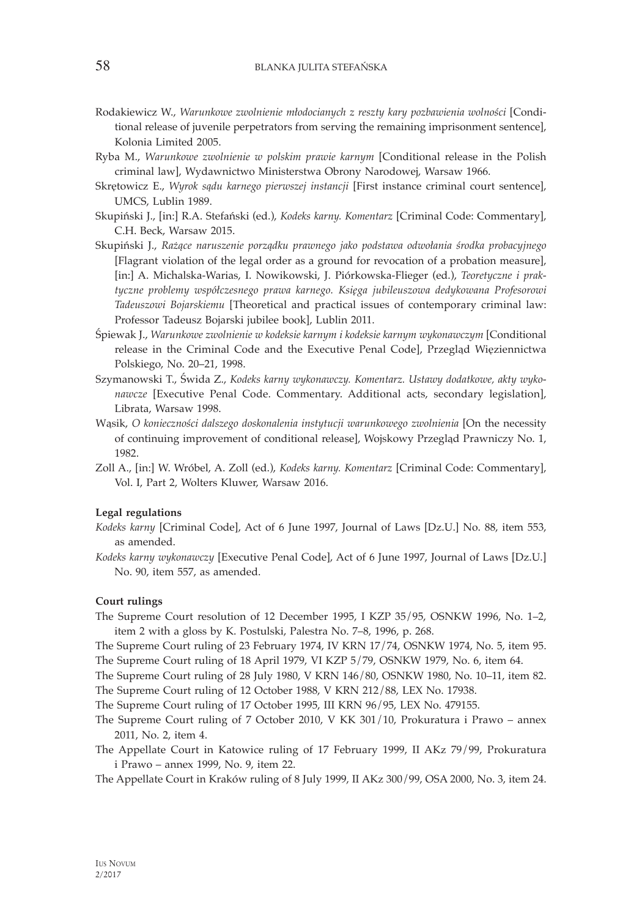- Rodakiewicz W., *Warunkowe zwolnienie młodocianych z reszty kary pozbawienia wolności* [Conditional release of juvenile perpetrators from serving the remaining imprisonment sentence], Kolonia Limited 2005.
- Ryba M., *Warunkowe zwolnienie w polskim prawie karnym* [Conditional release in the Polish criminal law], Wydawnictwo Ministerstwa Obrony Narodowej, Warsaw 1966.
- Skrętowicz E., *Wyrok sądu karnego pierwszej instancji* [First instance criminal court sentence], UMCS, Lublin 1989.
- Skupiński J., [in:] R.A. Stefański (ed.), *Kodeks karny. Komentarz* [Criminal Code: Commentary], C.H. Beck, Warsaw 2015.
- Skupiński J., *Rażące naruszenie porządku prawnego jako podstawa odwołania środka probacyjnego* [Flagrant violation of the legal order as a ground for revocation of a probation measure], [in:] A. Michalska-Warias, I. Nowikowski, J. Piórkowska-Flieger (ed.), *Teoretyczne i praktyczne problemy współczesnego prawa karnego. Księga jubileuszowa dedykowana Profesorowi Tadeuszowi Bojarskiemu* [Theoretical and practical issues of contemporary criminal law: Professor Tadeusz Bojarski jubilee book], Lublin 2011.
- Śpiewak J., *Warunkowe zwolnienie w kodeksie karnym i kodeksie karnym wykonawczym* [Conditional release in the Criminal Code and the Executive Penal Code], Przegląd Więziennictwa Polskiego, No. 20–21, 1998.
- Szymanowski T., Świda Z., *Kodeks karny wykonawczy. Komentarz. Ustawy dodatkowe, akty wykonawcze* [Executive Penal Code. Commentary. Additional acts, secondary legislation], Librata, Warsaw 1998.
- Wąsik, *O konieczności dalszego doskonalenia instytucji warunkowego zwolnienia* [On the necessity of continuing improvement of conditional release], Wojskowy Przegląd Prawniczy No. 1, 1982.
- Zoll A., [in:] W. Wróbel, A. Zoll (ed.), *Kodeks karny. Komentarz* [Criminal Code: Commentary], Vol. I, Part 2, Wolters Kluwer, Warsaw 2016.

#### **Legal regulations**

- *Kodeks karny* [Criminal Code], Act of 6 June 1997, Journal of Laws [Dz.U.] No. 88, item 553, as amended.
- *Kodeks karny wykonawczy* [Executive Penal Code], Act of 6 June 1997, Journal of Laws [Dz.U.] No. 90, item 557, as amended.

#### **Court rulings**

The Supreme Court resolution of 12 December 1995, I KZP 35/95, OSNKW 1996, No. 1–2, item 2 with a gloss by K. Postulski, Palestra No. 7–8, 1996, p. 268.

The Supreme Court ruling of 23 February 1974, IV KRN 17/74, OSNKW 1974, No. 5, item 95. The Supreme Court ruling of 18 April 1979, VI KZP 5/79, OSNKW 1979, No. 6, item 64.

The Supreme Court ruling of 28 July 1980, V KRN 146/80, OSNKW 1980, No. 10–11, item 82. The Supreme Court ruling of 12 October 1988, V KRN 212/88, LEX No. 17938.

The Supreme Court ruling of 17 October 1995, III KRN 96/95, LEX No. 479155.

- The Supreme Court ruling of 7 October 2010, V KK 301/10, Prokuratura i Prawo annex 2011, No. 2, item 4.
- The Appellate Court in Katowice ruling of 17 February 1999, II AKz 79/99, Prokuratura i Prawo – annex 1999, No. 9, item 22.

The Appellate Court in Kraków ruling of 8 July 1999, II AKz 300/99, OSA 2000, No. 3, item 24.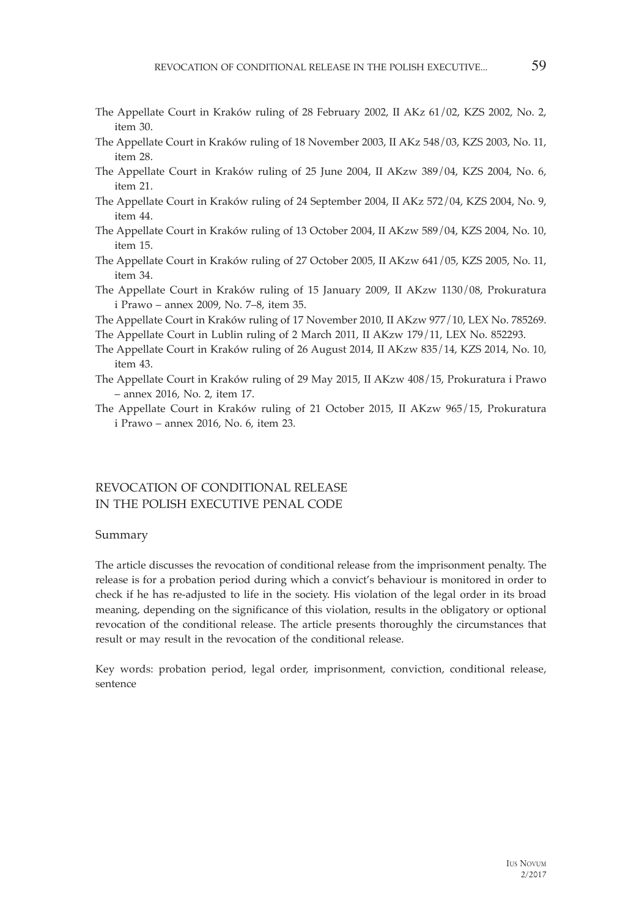- The Appellate Court in Kraków ruling of 28 February 2002, II AKz 61/02, KZS 2002, No. 2,  $^{i+cm}$  30.
- The Appellate Court in Kraków ruling of 18 November 2003, II AKz 548/03, KZS 2003, No. 11, item 28.
- The Appellate Court in Kraków ruling of 25 June 2004, II AKzw 389/04, KZS 2004, No. 6, item 21.
- The Appellate Court in Kraków ruling of 24 September 2004, II AKz 572/04, KZS 2004, No. 9, item 44.
- The Appellate Court in Kraków ruling of 13 October 2004, II AKzw 589/04, KZS 2004, No. 10, item 15.
- The Appellate Court in Kraków ruling of 27 October 2005, II AKzw 641/05, KZS 2005, No. 11, item 34.
- The Appellate Court in Kraków ruling of 15 January 2009, II AKzw 1130/08, Prokuratura i Prawo – annex 2009, No. 7–8, item 35.
- The Appellate Court in Kraków ruling of 17 November 2010, II AKzw 977/10, LEX No. 785269.
- The Appellate Court in Lublin ruling of 2 March 2011, II AKzw 179/11, LEX No. 852293.
- The Appellate Court in Kraków ruling of 26 August 2014, II AKzw 835/14, KZS 2014, No. 10, item 43.
- The Appellate Court in Kraków ruling of 29 May 2015, II AKzw 408/15, Prokuratura i Prawo – annex 2016, No. 2, item 17.
- The Appellate Court in Kraków ruling of 21 October 2015, II AKzw 965/15, Prokuratura i Prawo – annex 2016, No. 6, item 23.

## REVOCATION OF CONDITIONAL RELEASE IN THE POLISH EXECUTIVE PENAL CODE

#### Summary

The article discusses the revocation of conditional release from the imprisonment penalty. The release is for a probation period during which a convict's behaviour is monitored in order to check if he has re-adjusted to life in the society. His violation of the legal order in its broad meaning, depending on the significance of this violation, results in the obligatory or optional revocation of the conditional release. The article presents thoroughly the circumstances that result or may result in the revocation of the conditional release.

Key words: probation period, legal order, imprisonment, conviction, conditional release, sentence